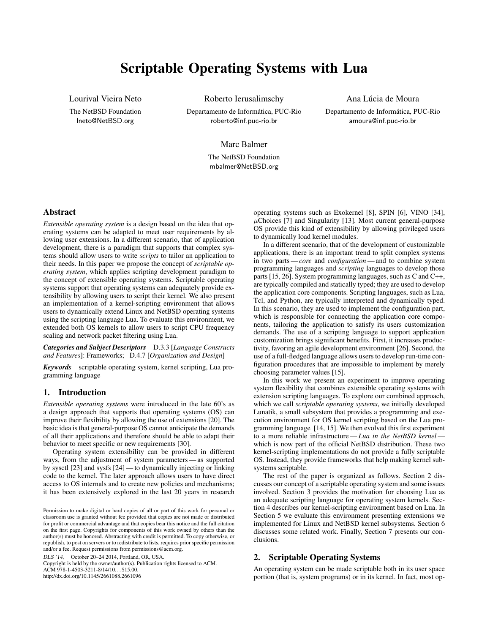# Scriptable Operating Systems with Lua

Lourival Vieira Neto

The NetBSD Foundation lneto@NetBSD.org

Roberto Ierusalimschy

Departamento de Informática, PUC-Rio roberto@inf.puc-rio.br

Ana Lúcia de Moura Departamento de Informática, PUC-Rio amoura@inf.puc-rio.br

Marc Balmer

The NetBSD Foundation mbalmer@NetBSD.org

# Abstract

*Extensible operating system* is a design based on the idea that operating systems can be adapted to meet user requirements by allowing user extensions. In a different scenario, that of application development, there is a paradigm that supports that complex systems should allow users to write *scripts* to tailor an application to their needs. In this paper we propose the concept of *scriptable operating system*, which applies scripting development paradigm to the concept of extensible operating systems. Scriptable operating systems support that operating systems can adequately provide extensibility by allowing users to script their kernel. We also present an implementation of a kernel-scripting environment that allows users to dynamically extend Linux and NetBSD operating systems using the scripting language Lua. To evaluate this environment, we extended both OS kernels to allow users to script CPU frequency scaling and network packet filtering using Lua.

*Categories and Subject Descriptors* D.3.3 [*Language Constructs and Features*]: Frameworks; D.4.7 [*Organization and Design*]

*Keywords* scriptable operating system, kernel scripting, Lua programming language

## 1. Introduction

*Extensible operating systems* were introduced in the late 60's as a design approach that supports that operating systems (OS) can improve their flexibility by allowing the use of extensions [20]. The basic idea is that general-purpose OS cannot anticipate the demands of all their applications and therefore should be able to adapt their behavior to meet specific or new requirements [30].

Operating system extensibility can be provided in different ways, from the adjustment of system parameters — as supported by sysctl [23] and sysfs [24] — to dynamically injecting or linking code to the kernel. The later approach allows users to have direct access to OS internals and to create new policies and mechanisms; it has been extensively explored in the last 20 years in research

DLS '14, October 20–24 2014, Portland, OR, USA.

Copyright is held by the owner/author(s). Publication rights licensed to ACM. ACM 978-1-4503-3211-8/14/10... \$15.00. http://dx.doi.org/10.1145/2661088.2661096

operating systems such as Exokernel [8], SPIN [6], VINO [34],  $\mu$ Choices [7] and Singularity [13]. Most current general-purpose OS provide this kind of extensibility by allowing privileged users to dynamically load kernel modules.

In a different scenario, that of the development of customizable applications, there is an important trend to split complex systems in two parts — *core* and *configuration* — and to combine system programming languages and *scripting* languages to develop those parts [15, 26]. System programming languages, such as C and C++, are typically compiled and statically typed; they are used to develop the application core components. Scripting languages, such as Lua, Tcl, and Python, are typically interpreted and dynamically typed. In this scenario, they are used to implement the configuration part, which is responsible for connecting the application core components, tailoring the application to satisfy its users customization demands. The use of a scripting language to support application customization brings significant benefits. First, it increases productivity, favoring an agile development environment [26]. Second, the use of a full-fledged language allows users to develop run-time configuration procedures that are impossible to implement by merely choosing parameter values [15].

In this work we present an experiment to improve operating system flexibility that combines extensible operating systems with extension scripting languages. To explore our combined approach, which we call *scriptable operating systems*, we initially developed Lunatik, a small subsystem that provides a programming and execution environment for OS kernel scripting based on the Lua programming language [14, 15]. We then evolved this first experiment to a more reliable infrastructure — *Lua in the NetBSD kernel* which is now part of the official NetBSD distribution. These two kernel-scripting implementations do not provide a fully scriptable OS. Instead, they provide frameworks that help making kernel subsystems scriptable.

The rest of the paper is organized as follows. Section 2 discusses our concept of a scriptable operating system and some issues involved. Section 3 provides the motivation for choosing Lua as an adequate scripting language for operating system kernels. Section 4 describes our kernel-scripting environment based on Lua. In Section 5 we evaluate this environment presenting extensions we implemented for Linux and NetBSD kernel subsystems. Section 6 discusses some related work. Finally, Section 7 presents our conclusions.

#### 2. Scriptable Operating Systems

An operating system can be made scriptable both in its user space portion (that is, system programs) or in its kernel. In fact, most op-

Permission to make digital or hard copies of all or part of this work for personal or classroom use is granted without fee provided that copies are not made or distributed for profit or commercial advantage and that copies bear this notice and the full citation on the first page. Copyrights for components of this work owned by others than the author(s) must be honored. Abstracting with credit is permitted. To copy otherwise, or republish, to post on servers or to redistribute to lists, requires prior specific permission and/or a fee. Request permissions from permissions@acm.org.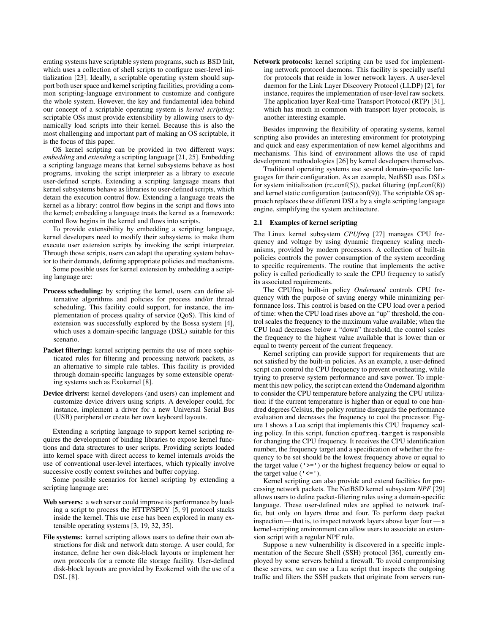erating systems have scriptable system programs, such as BSD Init, which uses a collection of shell scripts to configure user-level initialization [23]. Ideally, a scriptable operating system should support both user space and kernel scripting facilities, providing a common scripting-language environment to customize and configure the whole system. However, the key and fundamental idea behind our concept of a scriptable operating system is *kernel scripting*: scriptable OSs must provide extensibility by allowing users to dynamically load scripts into their kernel. Because this is also the most challenging and important part of making an OS scriptable, it is the focus of this paper.

OS kernel scripting can be provided in two different ways: *embedding* and *extending* a scripting language [21, 25]. Embedding a scripting language means that kernel subsystems behave as host programs, invoking the script interpreter as a library to execute user-defined scripts. Extending a scripting language means that kernel subsystems behave as libraries to user-defined scripts, which detain the execution control flow. Extending a language treats the kernel as a library: control flow begins in the script and flows into the kernel; embedding a language treats the kernel as a framework: control flow begins in the kernel and flows into scripts.

To provide extensibility by embedding a scripting language, kernel developers need to modify their subsystems to make them execute user extension scripts by invoking the script interpreter. Through those scripts, users can adapt the operating system behavior to their demands, defining appropriate policies and mechanisms.

Some possible uses for kernel extension by embedding a scripting language are:

- Process scheduling: by scripting the kernel, users can define alternative algorithms and policies for process and/or thread scheduling. This facility could support, for instance, the implementation of process quality of service (QoS). This kind of extension was successfully explored by the Bossa system [4], which uses a domain-specific language (DSL) suitable for this scenario.
- Packet filtering: kernel scripting permits the use of more sophisticated rules for filtering and processing network packets, as an alternative to simple rule tables. This facility is provided through domain-specific languages by some extensible operating systems such as Exokernel [8].
- Device drivers: kernel developers (and users) can implement and customize device drivers using scripts. A developer could, for instance, implement a driver for a new Universal Serial Bus (USB) peripheral or create her own keyboard layouts.

Extending a scripting language to support kernel scripting requires the development of binding libraries to expose kernel functions and data structures to user scripts. Providing scripts loaded into kernel space with direct access to kernel internals avoids the use of conventional user-level interfaces, which typically involve successive costly context switches and buffer copying.

Some possible scenarios for kernel scripting by extending a scripting language are:

- Web servers: a web server could improve its performance by loading a script to process the HTTP/SPDY [5, 9] protocol stacks inside the kernel. This use case has been explored in many extensible operating systems [3, 19, 32, 35].
- File systems: kernel scripting allows users to define their own abstractions for disk and network data storage. A user could, for instance, define her own disk-block layouts or implement her own protocols for a remote file storage facility. User-defined disk-block layouts are provided by Exokernel with the use of a DSL [8].

Network protocols: kernel scripting can be used for implementing network protocol daemons. This facility is specially useful for protocols that reside in lower network layers. A user-level daemon for the Link Layer Discovery Protocol (LLDP) [2], for instance, requires the implementation of user-level raw sockets. The application layer Real-time Transport Protocol (RTP) [31], which has much in common with transport layer protocols, is another interesting example.

Besides improving the flexibility of operating systems, kernel scripting also provides an interesting environment for prototyping and quick and easy experimentation of new kernel algorithms and mechanisms. This kind of environment allows the use of rapid development methodologies [26] by kernel developers themselves.

Traditional operating systems use several domain-specific languages for their configuration. As an example, NetBSD uses DSLs for system initialization (rc.conf(5)), packet filtering (npf.conf(8)) and kernel static configuration (autoconf(9)). The scriptable OS approach replaces these different DSLs by a single scripting language engine, simplifying the system architecture.

# 2.1 Examples of kernel scripting

The Linux kernel subsystem *CPUfreq* [27] manages CPU frequency and voltage by using dynamic frequency scaling mechanisms, provided by modern processors. A collection of built-in policies controls the power consumption of the system according to specific requirements. The routine that implements the active policy is called periodically to scale the CPU frequency to satisfy its associated requirements.

The CPUfreq built-in policy *Ondemand* controls CPU frequency with the purpose of saving energy while minimizing performance loss. This control is based on the CPU load over a period of time: when the CPU load rises above an "up" threshold, the control scales the frequency to the maximum value available; when the CPU load decreases below a "down" threshold, the control scales the frequency to the highest value available that is lower than or equal to twenty percent of the current frequency.

Kernel scripting can provide support for requirements that are not satisfied by the built-in policies. As an example, a user-defined script can control the CPU frequency to prevent overheating, while trying to preserve system performance and save power. To implement this new policy, the script can extend the Ondemand algorithm to consider the CPU temperature before analyzing the CPU utilization: if the current temperature is higher than or equal to one hundred degrees Celsius, the policy routine disregards the performance evaluation and decreases the frequency to cool the processor. Figure 1 shows a Lua script that implements this CPU frequency scaling policy. In this script, function cpufreq.target is responsible for changing the CPU frequency. It receives the CPU identification number, the frequency target and a specification of whether the frequency to be set should be the lowest frequency above or equal to the target value ( $\rightarrow$ = $\rightarrow$ ) or the highest frequency below or equal to the target value  $('<=')$ .

Kernel scripting can also provide and extend facilities for processing network packets. The NetBSD kernel subsystem *NPF* [29] allows users to define packet-filtering rules using a domain-specific language. These user-defined rules are applied to network traffic, but only on layers three and four. To perform deep packet inspection — that is, to inspect network layers above layer four — a kernel-scripting environment can allow users to associate an extension script with a regular NPF rule.

Suppose a new vulnerability is discovered in a specific implementation of the Secure Shell (SSH) protocol [36], currently employed by some servers behind a firewall. To avoid compromising these servers, we can use a Lua script that inspects the outgoing traffic and filters the SSH packets that originate from servers run-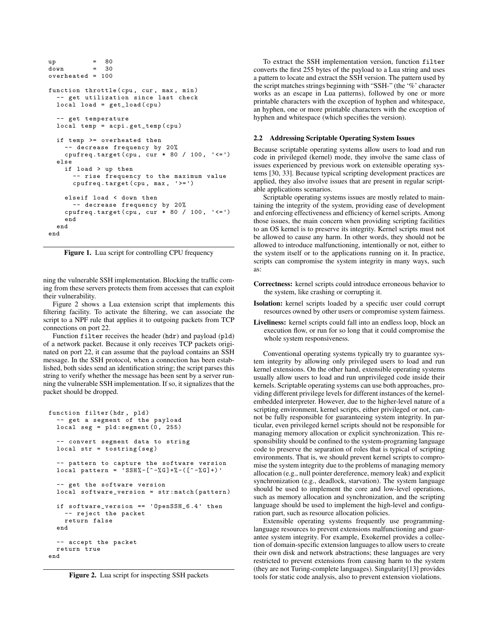```
up = 80down = 30overheated = 100
function throttle (cpu, cur, max, min)
   - get utilization since last check
 local load = get\_load(cpu)-- get temperature
  local temp = acpi.get_temp(cpu)if temp >= overheated then
    -- decrease frequency by 20%
    cpufreq.target ( cpu, cur * 80 / 100, 's=')
  else
    if load > up then
      -- rise frequency to the maximum value
      cpufreq . target ( cpu , max , '>=')
    elseif load < down then
      -- decrease frequency by 20%
    cpufreq . target ( cpu , cur * 80 / 100 , '<=')
    end
  end
end
```
Figure 1. Lua script for controlling CPU frequency

ning the vulnerable SSH implementation. Blocking the traffic coming from these servers protects them from accesses that can exploit their vulnerability.

Figure 2 shows a Lua extension script that implements this filtering facility. To activate the filtering, we can associate the script to a NPF rule that applies it to outgoing packets from TCP connections on port 22.

Function filter receives the header (hdr) and payload (pld) of a network packet. Because it only receives TCP packets originated on port 22, it can assume that the payload contains an SSH message. In the SSH protocol, when a connection has been established, both sides send an identification string; the script parses this string to verify whether the message has been sent by a server running the vulnerable SSH implementation. If so, it signalizes that the packet should be dropped.

```
function filter (hdr, pld)
  -- get a segment of the payload
  local seg = pld:segment(0, 255)-- convert segment data to string
  local str = tostring (seg)
  -- pattern to capture the software version
  local pattern = 'SSH% - [^ -% G] + % - ([^ -% G] +) '-- get the software version
  local software_version = str : match ( pattern )
  if software_version == 'OpenSSH_6 .4' then
    -- reject the packet
    return false
  end
  -- accept the packet
  return true
end
```
Figure 2. Lua script for inspecting SSH packets

To extract the SSH implementation version, function filter converts the first 255 bytes of the payload to a Lua string and uses a pattern to locate and extract the SSH version. The pattern used by the script matches strings beginning with "SSH-" (the '%' character works as an escape in Lua patterns), followed by one or more printable characters with the exception of hyphen and whitespace, an hyphen, one or more printable characters with the exception of hyphen and whitespace (which specifies the version).

#### 2.2 Addressing Scriptable Operating System Issues

Because scriptable operating systems allow users to load and run code in privileged (kernel) mode, they involve the same class of issues experienced by previous work on extensible operating systems [30, 33]. Because typical scripting development practices are applied, they also involve issues that are present in regular scriptable applications scenarios.

Scriptable operating systems issues are mostly related to maintaining the integrity of the system, providing ease of development and enforcing effectiveness and efficiency of kernel scripts. Among those issues, the main concern when providing scripting facilities to an OS kernel is to preserve its integrity. Kernel scripts must not be allowed to cause any harm. In other words, they should not be allowed to introduce malfunctioning, intentionally or not, either to the system itself or to the applications running on it. In practice, scripts can compromise the system integrity in many ways, such as:

- Correctness: kernel scripts could introduce erroneous behavior to the system, like crashing or corrupting it.
- Isolation: kernel scripts loaded by a specific user could corrupt resources owned by other users or compromise system fairness.
- Liveliness: kernel scripts could fall into an endless loop, block an execution flow, or run for so long that it could compromise the whole system responsiveness.

Conventional operating systems typically try to guarantee system integrity by allowing only privileged users to load and run kernel extensions. On the other hand, extensible operating systems usually allow users to load and run unprivileged code inside their kernels. Scriptable operating systems can use both approaches, providing different privilege levels for different instances of the kernelembedded interpreter. However, due to the higher-level nature of a scripting environment, kernel scripts, either privileged or not, cannot be fully responsible for guaranteeing system integrity. In particular, even privileged kernel scripts should not be responsible for managing memory allocation or explicit synchronization. This responsibility should be confined to the system-programing language code to preserve the separation of roles that is typical of scripting environments. That is, we should prevent kernel scripts to compromise the system integrity due to the problems of managing memory allocation (e.g., null pointer dereference, memory leak) and explicit synchronization (e.g., deadlock, starvation). The system language should be used to implement the core and low-level operations, such as memory allocation and synchronization, and the scripting language should be used to implement the high-level and configuration part, such as resource allocation policies.

Extensible operating systems frequently use programminglanguage resources to prevent extensions malfunctioning and guarantee system integrity. For example, Exokernel provides a collection of domain-specific extension languages to allow users to create their own disk and network abstractions; these languages are very restricted to prevent extensions from causing harm to the system (they are not Turing-complete languages). Singularity[13] provides tools for static code analysis, also to prevent extension violations.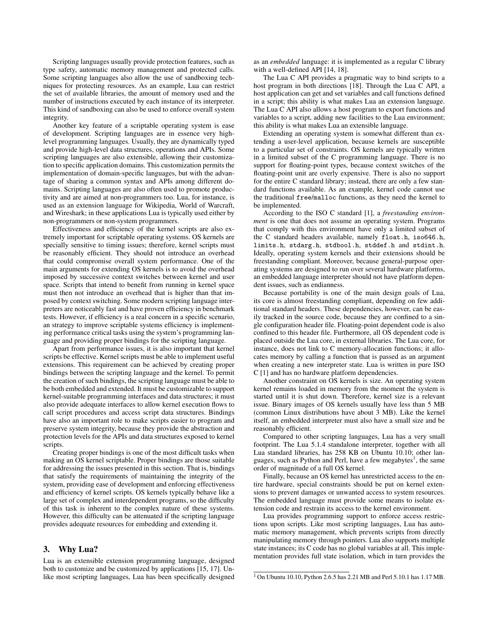Scripting languages usually provide protection features, such as type safety, automatic memory management and protected calls. Some scripting languages also allow the use of sandboxing techniques for protecting resources. As an example, Lua can restrict the set of available libraries, the amount of memory used and the number of instructions executed by each instance of its interpreter. This kind of sandboxing can also be used to enforce overall system integrity.

Another key feature of a scriptable operating system is ease of development. Scripting languages are in essence very highlevel programming languages. Usually, they are dynamically typed and provide high-level data structures, operations and APIs. Some scripting languages are also extensible, allowing their customization to specific application domains. This customization permits the implementation of domain-specific languages, but with the advantage of sharing a common syntax and APIs among different domains. Scripting languages are also often used to promote productivity and are aimed at non-programmers too. Lua, for instance, is used as an extension language for Wikipedia, World of Warcraft, and Wireshark; in these applications Lua is typically used either by non-programmers or non-system programmers.

Effectiveness and efficiency of the kernel scripts are also extremely important for scriptable operating systems. OS kernels are specially sensitive to timing issues; therefore, kernel scripts must be reasonably efficient. They should not introduce an overhead that could compromise overall system performance. One of the main arguments for extending OS kernels is to avoid the overhead imposed by successive context switches between kernel and user space. Scripts that intend to benefit from running in kernel space must then not introduce an overhead that is higher than that imposed by context switching. Some modern scripting language interpreters are noticeably fast and have proven efficiency in benchmark tests. However, if efficiency is a real concern in a specific scenario, an strategy to improve scriptable systems efficiency is implementing performance critical tasks using the system's programming language and providing proper bindings for the scripting language.

Apart from performance issues, it is also important that kernel scripts be effective. Kernel scripts must be able to implement useful extensions. This requirement can be achieved by creating proper bindings between the scripting language and the kernel. To permit the creation of such bindings, the scripting language must be able to be both embedded and extended. It must be customizable to support kernel-suitable programming interfaces and data structures; it must also provide adequate interfaces to allow kernel execution flows to call script procedures and access script data structures. Bindings have also an important role to make scripts easier to program and preserve system integrity, because they provide the abstraction and protection levels for the APIs and data structures exposed to kernel scripts.

Creating proper bindings is one of the most difficult tasks when making an OS kernel scriptable. Proper bindings are those suitable for addressing the issues presented in this section. That is, bindings that satisfy the requirements of maintaining the integrity of the system, providing ease of development and enforcing effectiveness and efficiency of kernel scripts. OS kernels typically behave like a large set of complex and interdependent programs, so the difficulty of this task is inherent to the complex nature of these systems. However, this difficulty can be attenuated if the scripting language provides adequate resources for embedding and extending it.

# 3. Why Lua?

Lua is an extensible extension programming language, designed both to customize and be customized by applications [15, 17]. Unlike most scripting languages, Lua has been specifically designed as an *embedded* language: it is implemented as a regular C library with a well-defined API [14, 18].

The Lua C API provides a pragmatic way to bind scripts to a host program in both directions [18]. Through the Lua C API, a host application can get and set variables and call functions defined in a script; this ability is what makes Lua an extension language. The Lua C API also allows a host program to export functions and variables to a script, adding new facilities to the Lua environment; this ability is what makes Lua an extensible language.

Extending an operating system is somewhat different than extending a user-level application, because kernels are susceptible to a particular set of constraints. OS kernels are typically written in a limited subset of the C programming language. There is no support for floating-point types, because context switches of the floating-point unit are overly expensive. There is also no support for the entire C standard library; instead, there are only a few standard functions available. As an example, kernel code cannot use the traditional free/malloc functions, as they need the kernel to be implemented.

According to the ISO C standard [1], a *freestanding environment* is one that does not assume an operating system. Programs that comply with this environment have only a limited subset of the C standard headers available, namely float.h, iso646.h, limits.h, stdarg.h, stdbool.h, stddef.h and stdint.h. Ideally, operating system kernels and their extensions should be freestanding compliant. Moreover, because general-purpose operating systems are designed to run over several hardware platforms, an embedded language interpreter should not have platform dependent issues, such as endianness.

Because portability is one of the main design goals of Lua, its core is almost freestanding compliant, depending on few additional standard headers. These dependencies, however, can be easily tracked in the source code, because they are confined to a single configuration header file. Floating-point dependent code is also confined to this header file. Furthermore, all OS dependent code is placed outside the Lua core, in external libraries. The Lua core, for instance, does not link to C memory-allocation functions; it allocates memory by calling a function that is passed as an argument when creating a new interpreter state. Lua is written in pure ISO C [1] and has no hardware platform dependencies.

Another constraint on OS kernels is size. An operating system kernel remains loaded in memory from the moment the system is started until it is shut down. Therefore, kernel size is a relevant issue. Binary images of OS kernels usually have less than 5 MB (common Linux distributions have about 3 MB). Like the kernel itself, an embedded interpreter must also have a small size and be reasonably efficient.

Compared to other scripting languages, Lua has a very small footprint. The Lua 5.1.4 standalone interpreter, together with all Lua standard libraries, has 258 KB on Ubuntu 10.10; other languages, such as Python and Perl, have a few megabytes<sup>1</sup>, the same order of magnitude of a full OS kernel.

Finally, because an OS kernel has unrestricted access to the entire hardware, special constraints should be put on kernel extensions to prevent damages or unwanted access to system resources. The embedded language must provide some means to isolate extension code and restrain its access to the kernel environment.

Lua provides programming support to enforce access restrictions upon scripts. Like most scripting languages, Lua has automatic memory management, which prevents scripts from directly manipulating memory through pointers. Lua also supports multiple state instances; its C code has no global variables at all. This implementation provides full state isolation, which in turn provides the

<sup>1</sup> On Ubuntu 10.10, Python 2.6.5 has 2.21 MB and Perl 5.10.1 has 1.17 MB.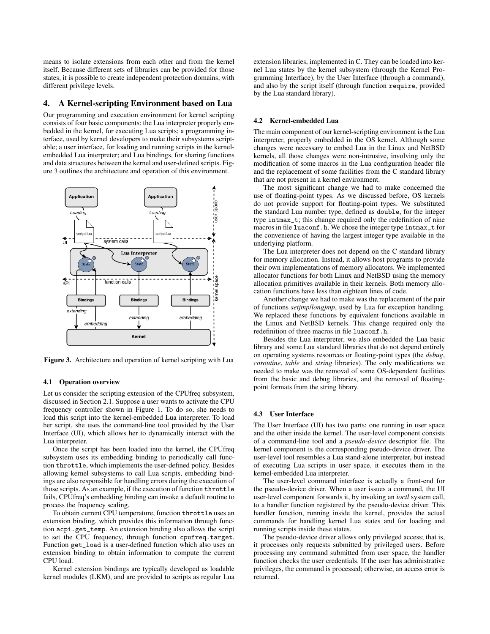means to isolate extensions from each other and from the kernel itself. Because different sets of libraries can be provided for those states, it is possible to create independent protection domains, with different privilege levels.

#### 4. A Kernel-scripting Environment based on Lua

Our programming and execution environment for kernel scripting consists of four basic components: the Lua interpreter properly embedded in the kernel, for executing Lua scripts; a programming interface, used by kernel developers to make their subsystems scriptable; a user interface, for loading and running scripts in the kernelembedded Lua interpreter; and Lua bindings, for sharing functions and data structures between the kernel and user-defined scripts. Figure 3 outlines the architecture and operation of this environment.



Figure 3. Architecture and operation of kernel scripting with Lua

## 4.1 Operation overview

Let us consider the scripting extension of the CPUfreq subsystem, discussed in Section 2.1. Suppose a user wants to activate the CPU frequency controller shown in Figure 1. To do so, she needs to load this script into the kernel-embedded Lua interpreter. To load her script, she uses the command-line tool provided by the User Interface (UI), which allows her to dynamically interact with the Lua interpreter.

Once the script has been loaded into the kernel, the CPUfreq subsystem uses its embedding binding to periodically call function throttle, which implements the user-defined policy. Besides allowing kernel subsystems to call Lua scripts, embedding bindings are also responsible for handling errors during the execution of those scripts. As an example, if the execution of function throttle fails, CPUfreq's embedding binding can invoke a default routine to process the frequency scaling.

To obtain current CPU temperature, function throttle uses an extension binding, which provides this information through function acpi.get\_temp. An extension binding also allows the script to set the CPU frequency, through function cpufreq.target. Function get\_load is a user-defined function which also uses an extension binding to obtain information to compute the current CPU load.

Kernel extension bindings are typically developed as loadable kernel modules (LKM), and are provided to scripts as regular Lua extension libraries, implemented in C. They can be loaded into kernel Lua states by the kernel subsystem (through the Kernel Programming Interface), by the User Interface (through a command), and also by the script itself (through function require, provided by the Lua standard library).

#### 4.2 Kernel-embedded Lua

The main component of our kernel-scripting environment is the Lua interpreter, properly embedded in the OS kernel. Although some changes were necessary to embed Lua in the Linux and NetBSD kernels, all those changes were non-intrusive, involving only the modification of some macros in the Lua configuration header file and the replacement of some facilities from the C standard library that are not present in a kernel environment.

The most significant change we had to make concerned the use of floating-point types. As we discussed before, OS kernels do not provide support for floating-point types. We substituted the standard Lua number type, defined as double, for the integer type intmax\_t; this change required only the redefinition of nine macros in file luaconf.h. We chose the integer type intmax\_t for the convenience of having the largest integer type available in the underlying platform.

The Lua interpreter does not depend on the C standard library for memory allocation. Instead, it allows host programs to provide their own implementations of memory allocators. We implemented allocator functions for both Linux and NetBSD using the memory allocation primitives available in their kernels. Both memory allocation functions have less than eighteen lines of code.

Another change we had to make was the replacement of the pair of functions *setjmp*/*longjmp*, used by Lua for exception handling. We replaced these functions by equivalent functions available in the Linux and NetBSD kernels. This change required only the redefinition of three macros in file luaconf.h.

Besides the Lua interpreter, we also embedded the Lua basic library and some Lua standard libraries that do not depend entirely on operating systems resources or floating-point types (the *debug*, *coroutine*, *table* and *string* libraries). The only modifications we needed to make was the removal of some OS-dependent facilities from the basic and debug libraries, and the removal of floatingpoint formats from the string library.

## 4.3 User Interface

The User Interface (UI) has two parts: one running in user space and the other inside the kernel. The user-level component consists of a command-line tool and a *pseudo-device* descriptor file. The kernel component is the corresponding pseudo-device driver. The user-level tool resembles a Lua stand-alone interpreter, but instead of executing Lua scripts in user space, it executes them in the kernel-embedded Lua interpreter.

The user-level command interface is actually a front-end for the pseudo-device driver. When a user issues a command, the UI user-level component forwards it, by invoking an *ioctl* system call, to a handler function registered by the pseudo-device driver. This handler function, running inside the kernel, provides the actual commands for handling kernel Lua states and for loading and running scripts inside these states.

The pseudo-device driver allows only privileged access; that is, it processes only requests submitted by privileged users. Before processing any command submitted from user space, the handler function checks the user credentials. If the user has administrative privileges, the command is processed; otherwise, an access error is returned.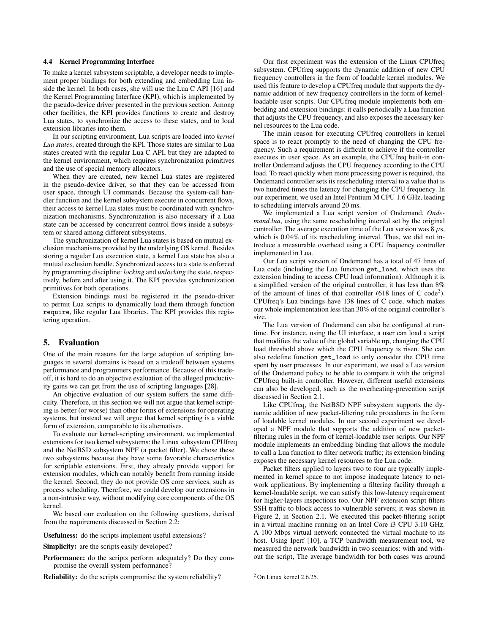#### 4.4 Kernel Programming Interface

To make a kernel subsystem scriptable, a developer needs to implement proper bindings for both extending and embedding Lua inside the kernel. In both cases, she will use the Lua C API [16] and the Kernel Programming Interface (KPI), which is implemented by the pseudo-device driver presented in the previous section. Among other facilities, the KPI provides functions to create and destroy Lua states, to synchronize the access to these states, and to load extension libraries into them.

In our scripting environment, Lua scripts are loaded into *kernel Lua states*, created through the KPI. Those states are similar to Lua states created with the regular Lua C API, but they are adapted to the kernel environment, which requires synchronization primitives and the use of special memory allocators.

When they are created, new kernel Lua states are registered in the pseudo-device driver, so that they can be accessed from user space, through UI commands. Because the system-call handler function and the kernel subsystem execute in concurrent flows, their access to kernel Lua states must be coordinated with synchronization mechanisms. Synchronization is also necessary if a Lua state can be accessed by concurrent control flows inside a subsystem or shared among different subsystems.

The synchronization of kernel Lua states is based on mutual exclusion mechanisms provided by the underlying OS kernel. Besides storing a regular Lua execution state, a kernel Lua state has also a mutual exclusion handle. Synchronized access to a state is enforced by programming discipline: *locking* and *unlocking* the state, respectively, before and after using it. The KPI provides synchronization primitives for both operations.

Extension bindings must be registered in the pseudo-driver to permit Lua scripts to dynamically load them through function require, like regular Lua libraries. The KPI provides this registering operation.

# 5. Evaluation

One of the main reasons for the large adoption of scripting languages in several domains is based on a tradeoff between systems performance and programmers performance. Because of this tradeoff, it is hard to do an objective evaluation of the alleged productivity gains we can get from the use of scripting languages [28].

An objective evaluation of our system suffers the same difficulty. Therefore, in this section we will not argue that kernel scripting is better (or worse) than other forms of extensions for operating systems, but instead we will argue that kernel scripting is a viable form of extension, comparable to its alternatives.

To evaluate our kernel-scripting environment, we implemented extensions for two kernel subsystems: the Linux subsystem CPUfreq and the NetBSD subsystem NPF (a packet filter). We chose these two subsystems because they have some favorable characteristics for scriptable extensions. First, they already provide support for extension modules, which can notably benefit from running inside the kernel. Second, they do not provide OS core services, such as process scheduling. Therefore, we could develop our extensions in a non-intrusive way, without modifying core components of the OS kernel.

We based our evaluation on the following questions, derived from the requirements discussed in Section 2.2:

Usefulness: do the scripts implement useful extensions?

Simplicity: are the scripts easily developed?

Performance: do the scripts perform adequately? Do they compromise the overall system performance?

Reliability: do the scripts compromise the system reliability?

Our first experiment was the extension of the Linux CPUfreq subsystem. CPUfreq supports the dynamic addition of new CPU frequency controllers in the form of loadable kernel modules. We used this feature to develop a CPUfreq module that supports the dynamic addition of new frequency controllers in the form of kernelloadable user scripts. Our CPUfreq module implements both embedding and extension bindings: it calls periodically a Lua function that adjusts the CPU frequency, and also exposes the necessary kernel resources to the Lua code.

The main reason for executing CPUfreq controllers in kernel space is to react promptly to the need of changing the CPU frequency. Such a requirement is difficult to achieve if the controller executes in user space. As an example, the CPUfreq built-in controller Ondemand adjusts the CPU frequency according to the CPU load. To react quickly when more processing power is required, the Ondemand controller sets its rescheduling interval to a value that is two hundred times the latency for changing the CPU frequency. In our experiment, we used an Intel Pentium M CPU 1.6 GHz, leading to scheduling intervals around 20 ms.

We implemented a Lua script version of Ondemand, *Ondemand.lua*, using the same rescheduling interval set by the original controller. The average execution time of the Lua version was  $8 \mu s$ , which is 0.04% of its rescheduling interval. Thus, we did not introduce a measurable overhead using a CPU frequency controller implemented in Lua.

Our Lua script version of Ondemand has a total of 47 lines of Lua code (including the Lua function get\_load, which uses the extension binding to access CPU load information). Although it is a simplified version of the original controller, it has less than 8% of the amount of lines of that controller (618 lines of C code<sup>2</sup>). CPUfreq's Lua bindings have 138 lines of C code, which makes our whole implementation less than 30% of the original controller's size.

The Lua version of Ondemand can also be configured at runtime. For instance, using the UI interface, a user can load a script that modifies the value of the global variable up, changing the CPU load threshold above which the CPU frequency is risen. She can also redefine function get\_load to only consider the CPU time spent by user processes. In our experiment, we used a Lua version of the Ondemand policy to be able to compare it with the original CPUfreq built-in controller. However, different useful extensions can also be developed, such as the overheating-prevention script discussed in Section 2.1.

Like CPUfreq, the NetBSD NPF subsystem supports the dynamic addition of new packet-filtering rule procedures in the form of loadable kernel modules. In our second experiment we developed a NPF module that supports the addition of new packetfiltering rules in the form of kernel-loadable user scripts. Our NPF module implements an embedding binding that allows the module to call a Lua function to filter network traffic; its extension binding exposes the necessary kernel resources to the Lua code.

Packet filters applied to layers two to four are typically implemented in kernel space to not impose inadequate latency to network applications. By implementing a filtering facility through a kernel-loadable script, we can satisfy this low-latency requirement for higher-layers inspections too. Our NPF extension script filters SSH traffic to block access to vulnerable servers; it was shown in Figure 2, in Section 2.1. We executed this packet-filtering script in a virtual machine running on an Intel Core i3 CPU 3.10 GHz. A 100 Mbps virtual network connected the virtual machine to its host. Using Iperf [10], a TCP bandwidth measurement tool, we measured the network bandwidth in two scenarios: with and without the script, The average bandwidth for both cases was around

<sup>2</sup> On Linux kernel 2.6.25.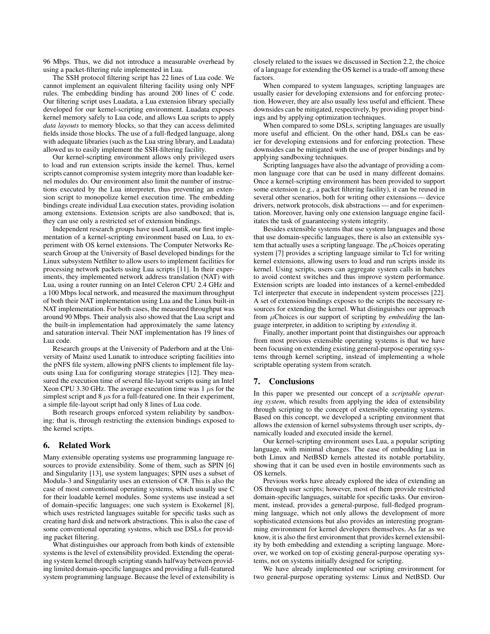96 Mbps. Thus, we did not introduce a measurable overhead by using a packet-filtering rule implemented in Lua.

The SSH protocol filtering script has 22 lines of Lua code. We cannot implement an equivalent filtering facility using only NPF rules. The embedding binding has around 200 lines of C code. Our filtering script uses Luadata, a Lua extension library specially developed for our kernel-scripting environment. Luadata exposes kernel memory safely to Lua code, and allows Lua scripts to apply *data layouts* to memory blocks, so that they can access delimited fields inside those blocks. The use of a full-fledged language, along with adequate libraries (such as the Lua string library, and Luadata) allowed us to easily implement the SSH-filtering facility.

Our kernel-scripting environment allows only privileged users to load and run extension scripts inside the kernel. Thus, kernel scripts cannot compromise system integrity more than loadable kernel modules do. Our environment also limit the number of instructions executed by the Lua interpreter, thus preventing an extension script to monopolize kernel execution time. The embedding bindings create individual Lua execution states, providing isolation among extensions. Extension scripts are also sandboxed; that is, they can use only a restricted set of extension bindings.

Independent research groups have used Lunatik, our first implementation of a kernel-scripting environment based on Lua, to experiment with OS kernel extensions. The Computer Networks Research Group at the University of Basel developed bindings for the Linux subsystem Netfilter to allow users to implement facilities for processing network packets using Lua scripts [11]. In their experiments, they implemented network address translation (NAT) with Lua, using a router running on an Intel Celeron CPU 2.4 GHz and a 100 Mbps local network, and measured the maximum throughput of both their NAT implementation using Lua and the Linux built-in NAT implementation. For both cases, the measured throughput was around 90 Mbps. Their analysis also showed that the Lua script and the built-in implementation had approximately the same latency and saturation interval. Their NAT implementation has 19 lines of Lua code.

Research groups at the University of Paderborn and at the University of Mainz used Lunatik to introduce scripting facilities into the pNFS file system, allowing pNFS clients to implement file layouts using Lua for configuring storage strategies [12]. They measured the execution time of several file-layout scripts using an Intel Xeon CPU 3.30 GHz. The average execution time was  $1 \mu s$  for the simplest script and  $8 \mu s$  for a full-featured one. In their experiment, a simple file-layout script had only 8 lines of Lua code.

Both research groups enforced system reliability by sandboxing; that is, through restricting the extension bindings exposed to the kernel scripts.

#### 6. Related Work

Many extensible operating systems use programming language resources to provide extensibility. Some of them, such as SPIN [6] and Singularity [13], use system languages; SPIN uses a subset of Modula-3 and Singularity uses an extension of C#. This is also the case of most conventional operating systems, which usually use C for their loadable kernel modules. Some systems use instead a set of domain-specific languages; one such system is Exokernel [8], which uses restricted languages suitable for specific tasks such as creating hard disk and network abstractions. This is also the case of some conventional operating systems, which use DSLs for providing packet filtering.

What distinguishes our approach from both kinds of extensible systems is the level of extensibility provided. Extending the operating system kernel through scripting stands halfway between providing limited domain-specific languages and providing a full-featured system programming language. Because the level of extensibility is closely related to the issues we discussed in Section 2.2, the choice of a language for extending the OS kernel is a trade-off among these factors.

When compared to system languages, scripting languages are usually easier for developing extensions and for enforcing protection. However, they are also usually less useful and efficient. These downsides can be mitigated, respectively, by providing proper bindings and by applying optimization techniques.

When compared to some DSLs, scripting languages are usually more useful and efficient. On the other hand, DSLs can be easier for developing extensions and for enforcing protection. These downsides can be mitigated with the use of proper bindings and by applying sandboxing techniques.

Scripting languages have also the advantage of providing a common language core that can be used in many different domains. Once a kernel-scripting environment has been provided to support some extension (e.g., a packet filtering facility), it can be reused in several other scenarios, both for writing other extensions — device drivers, network protocols, disk abstractions — and for experimentation. Moreover, having only one extension language engine facilitates the task of guaranteeing system integrity.

Besides extensible systems that use system languages and those that use domain-specific languages, there is also an extensible system that actually uses a scripting language. The  $\mu$ Choices operating system [7] provides a scripting language similar to Tcl for writing kernel extensions, allowing users to load and run scripts inside its kernel. Using scripts, users can aggregate system calls in batches to avoid context switches and thus improve system performance. Extension scripts are loaded into instances of a kernel-embedded Tcl interpreter that execute in independent system processes [22]. A set of extension bindings exposes to the scripts the necessary resources for extending the kernel. What distinguishes our approach from  $\mu$ Choices is our support of scripting by *embedding* the language interpreter, in addition to scripting by *extending* it.

Finally, another important point that distinguishes our approach from most previous extensible operating systems is that we have been focusing on extending existing general-purpose operating systems through kernel scripting, instead of implementing a whole scriptable operating system from scratch.

## 7. Conclusions

In this paper we presented our concept of a *scriptable operating system*, which results from applying the idea of extensibility through scripting to the concept of extensible operating systems. Based on this concept, we developed a scripting environment that allows the extension of kernel subsystems through user scripts, dynamically loaded and executed inside the kernel.

Our kernel-scripting environment uses Lua, a popular scripting language, with minimal changes. The ease of embedding Lua in both Linux and NetBSD kernels attested its notable portability, showing that it can be used even in hostile environments such as OS kernels.

Previous works have already explored the idea of extending an OS through user scripts; however, most of them provide restricted domain-specific languages, suitable for specific tasks. Our environment, instead, provides a general-purpose, full-fledged programming language, which not only allows the development of more sophisticated extensions but also provides an interesting programming environment for kernel developers themselves. As far as we know, it is also the first environment that provides kernel extensibility by both embedding and extending a scripting language. Moreover, we worked on top of existing general-purpose operating systems, not on systems initially designed for scripting.

We have already implemented our scripting environment for two general-purpose operating systems: Linux and NetBSD. Our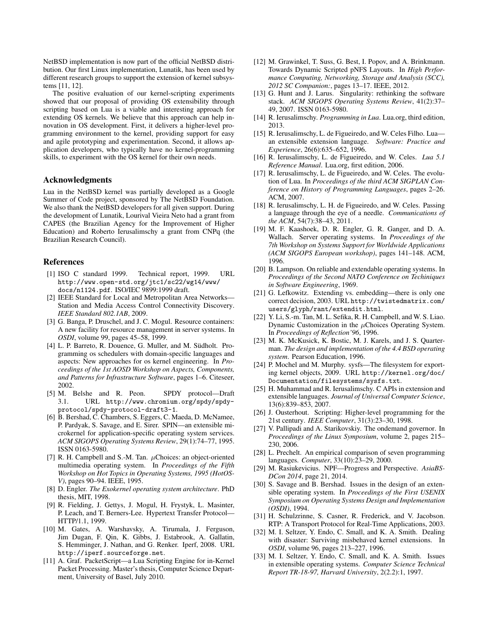NetBSD implementation is now part of the official NetBSD distribution. Our first Linux implementation, Lunatik, has been used by different research groups to support the extension of kernel subsystems [11, 12].

The positive evaluation of our kernel-scripting experiments showed that our proposal of providing OS extensibility through scripting based on Lua is a viable and interesting approach for extending OS kernels. We believe that this approach can help innovation in OS development. First, it delivers a higher-level programming environment to the kernel, providing support for easy and agile prototyping and experimentation. Second, it allows application developers, who typically have no kernel-programming skills, to experiment with the OS kernel for their own needs.

## Acknowledgments

Lua in the NetBSD kernel was partially developed as a Google Summer of Code project, sponsored by The NetBSD Foundation. We also thank the NetBSD developers for all given support. During the development of Lunatik, Lourival Vieira Neto had a grant from CAPES (the Brazilian Agency for the Improvement of Higher Education) and Roberto Ierusalimschy a grant from CNPq (the Brazilian Research Council).

# References

- [1] ISO C standard 1999. Technical report, 1999. URL http://www.open-std.org/jtc1/sc22/wg14/www/ docs/n1124.pdf. ISO/IEC 9899:1999 draft.
- [2] IEEE Standard for Local and Metropolitan Area Networks— Station and Media Access Control Connectivity Discovery. *IEEE Standard 802.1AB*, 2009.
- [3] G. Banga, P. Druschel, and J. C. Mogul. Resource containers: A new facility for resource management in server systems. In *OSDI*, volume 99, pages 45–58, 1999.
- [4] L. P. Barreto, R. Douence, G. Muller, and M. Südholt. Programming os schedulers with domain-specific languages and aspects: New approaches for os kernel engineering. In *Proceedings of the 1st AOSD Workshop on Aspects, Components, and Patterns for Infrastructure Software*, pages 1–6. Citeseer, 2002.
- [5] M. Belshe and R. Peon. SPDY protocol—Draft 3.1. URL http://www.chromium.org/spdy/spdyprotocol/spdy-protocol-draft3-1.
- [6] B. Bershad, C. Chambers, S. Eggers, C. Maeda, D. McNamee, P. Pardyak, S. Savage, and E. Sirer. SPIN—an extensible microkernel for application-specific operating system services. *ACM SIGOPS Operating Systems Review*, 29(1):74–77, 1995. ISSN 0163-5980.
- [7] R. H. Campbell and S.-M. Tan.  $\mu$ Choices: an object-oriented multimedia operating system. In *Proceedings of the Fifth Workshop on Hot Topics in Operating Systems, 1995 (HotOS-V)*, pages 90–94. IEEE, 1995.
- [8] D. Engler. *The Exokernel operating system architecture*. PhD thesis, MIT, 1998.
- [9] R. Fielding, J. Gettys, J. Mogul, H. Frystyk, L. Masinter, P. Leach, and T. Berners-Lee. Hypertext Transfer Protocol— HTTP/1.1, 1999.
- [10] M. Gates, A. Warshavsky, A. Tirumala, J. Ferguson, Jim Dugan, F. Qin, K. Gibbs, J. Estabrook, A. Gallatin, S. Hemminger, J. Nathan, and G. Renker. Iperf, 2008. URL http://iperf.sourceforge.net.
- [11] A. Graf. PacketScript—a Lua Scripting Engine for in-Kernel Packet Processing. Master's thesis, Computer Science Department, University of Basel, July 2010.
- [12] M. Grawinkel, T. Suss, G. Best, I. Popov, and A. Brinkmann. Towards Dynamic Scripted pNFS Layouts. In *High Performance Computing, Networking, Storage and Analysis (SCC), 2012 SC Companion:*, pages 13–17. IEEE, 2012.
- [13] G. Hunt and J. Larus. Singularity: rethinking the software stack. *ACM SIGOPS Operating Systems Review*, 41(2):37– 49, 2007. ISSN 0163-5980.
- [14] R. Ierusalimschy. *Programming in Lua*. Lua.org, third edition, 2013.
- [15] R. Ierusalimschy, L. de Figueiredo, and W. Celes Filho. Lua an extensible extension language. *Software: Practice and Experience*, 26(6):635–652, 1996.
- [16] R. Ierusalimschy, L. de Figueiredo, and W. Celes. *Lua 5.1 Reference Manual*. Lua.org, first edition, 2006.
- [17] R. Ierusalimschy, L. de Figueiredo, and W. Celes. The evolution of Lua. In *Proceedings of the third ACM SIGPLAN Conference on History of Programming Languages*, pages 2–26. ACM, 2007.
- [18] R. Ierusalimschy, L. H. de Figueiredo, and W. Celes. Passing a language through the eye of a needle. *Communications of the ACM*, 54(7):38–43, 2011.
- [19] M. F. Kaashoek, D. R. Engler, G. R. Ganger, and D. A. Wallach. Server operating systems. In *Proceedings of the 7th Workshop on Systems Support for Worldwide Applications (ACM SIGOPS European workshop)*, pages 141–148. ACM, 1996.
- [20] B. Lampson. On reliable and extendable operating systems. In *Proceedings of the Second NATO Conference on Techiniques in Software Engineering*, 1969.
- [21] G. Lefkowitz. Extending vs. embedding—there is only one correct decision, 2003. URL http://twistedmatrix.com/ users/glyph/rant/extendit.html.
- [22] Y. Li, S.-m. Tan, M. L. Sefika, R. H. Campbell, and W. S. Liao. Dynamic Customization in the  $\mu$ Choices Operating System. In *Proceedings of Reflection'96*, 1996.
- [23] M. K. McKusick, K. Bostic, M. J. Karels, and J. S. Quarterman. *The design and implementation of the 4.4 BSD operating system*. Pearson Education, 1996.
- [24] P. Mochel and M. Murphy. sysfs—The filesystem for exporting kernel objects, 2009. URL http://kernel.org/doc/ Documentation/filesystems/sysfs.txt.
- [25] H. Muhammad and R. Ierusalimschy. C APIs in extension and extensible languages. *Journal of Universal Computer Science*, 13(6):839–853, 2007.
- [26] J. Ousterhout. Scripting: Higher-level programming for the 21st century. *IEEE Computer*, 31(3):23–30, 1998.
- [27] V. Pallipadi and A. Starikovskiy. The ondemand governor. In *Proceedings of the Linux Symposium*, volume 2, pages 215– 230, 2006.
- [28] L. Prechelt. An empirical comparison of seven programming languages. *Computer*, 33(10):23–29, 2000.
- [29] M. Rasiukevicius. NPF—Progress and Perspective. *AsiaBS-DCon 2014*, page 21, 2014.
- [30] S. Savage and B. Bershad. Issues in the design of an extensible operating system. In *Proceedings of the First USENIX Symposium on Operating Systems Design and Implementation (OSDI)*, 1994.
- [31] H. Schulzrinne, S. Casner, R. Frederick, and V. Jacobson. RTP: A Transport Protocol for Real-Time Applications, 2003.
- [32] M. I. Seltzer, Y. Endo, C. Small, and K. A. Smith. Dealing with disaster: Surviving misbehaved kernel extensions. In *OSDI*, volume 96, pages 213–227, 1996.
- [33] M. I. Seltzer, Y. Endo, C. Small, and K. A. Smith. Issues in extensible operating systems. *Computer Science Technical Report TR-18-97, Harvard University*, 2(2.2):1, 1997.